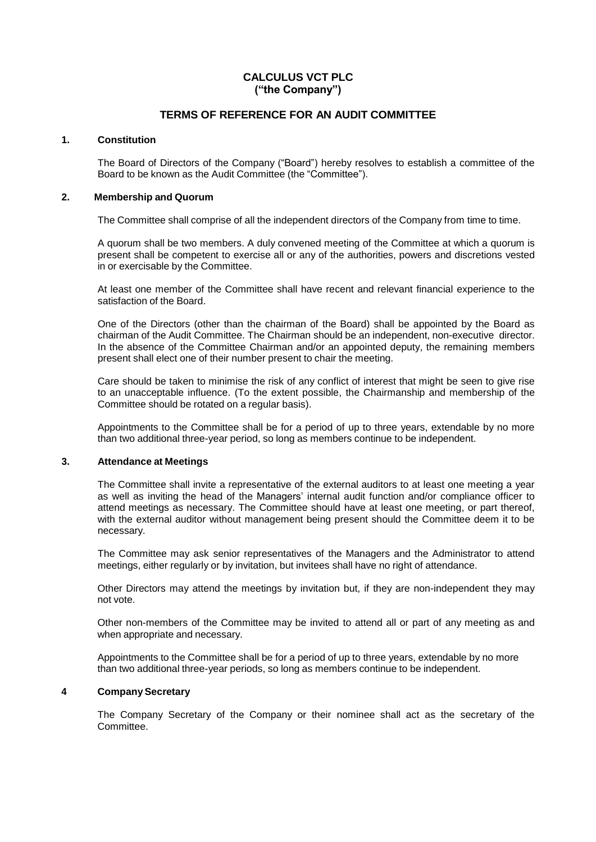# **CALCULUS VCT PLC ("the Company")**

# **TERMS OF REFERENCE FOR AN AUDIT COMMITTEE**

### **1. Constitution**

The Board of Directors of the Company ("Board") hereby resolves to establish a committee of the Board to be known as the Audit Committee (the "Committee").

#### **2. Membership and Quorum**

The Committee shall comprise of all the independent directors of the Company from time to time.

A quorum shall be two members. A duly convened meeting of the Committee at which a quorum is present shall be competent to exercise all or any of the authorities, powers and discretions vested in or exercisable by the Committee.

At least one member of the Committee shall have recent and relevant financial experience to the satisfaction of the Board.

One of the Directors (other than the chairman of the Board) shall be appointed by the Board as chairman of the Audit Committee. The Chairman should be an independent, non-executive director. In the absence of the Committee Chairman and/or an appointed deputy, the remaining members present shall elect one of their number present to chair the meeting.

Care should be taken to minimise the risk of any conflict of interest that might be seen to give rise to an unacceptable influence. (To the extent possible, the Chairmanship and membership of the Committee should be rotated on a regular basis).

Appointments to the Committee shall be for a period of up to three years, extendable by no more than two additional three-year period, so long as members continue to be independent.

#### **3. Attendance at Meetings**

The Committee shall invite a representative of the external auditors to at least one meeting a year as well as inviting the head of the Managers' internal audit function and/or compliance officer to attend meetings as necessary. The Committee should have at least one meeting, or part thereof, with the external auditor without management being present should the Committee deem it to be necessary.

The Committee may ask senior representatives of the Managers and the Administrator to attend meetings, either regularly or by invitation, but invitees shall have no right of attendance.

Other Directors may attend the meetings by invitation but, if they are non-independent they may not vote.

Other non-members of the Committee may be invited to attend all or part of any meeting as and when appropriate and necessary.

Appointments to the Committee shall be for a period of up to three years, extendable by no more than two additional three-year periods, so long as members continue to be independent.

## **4 CompanySecretary**

The Company Secretary of the Company or their nominee shall act as the secretary of the Committee.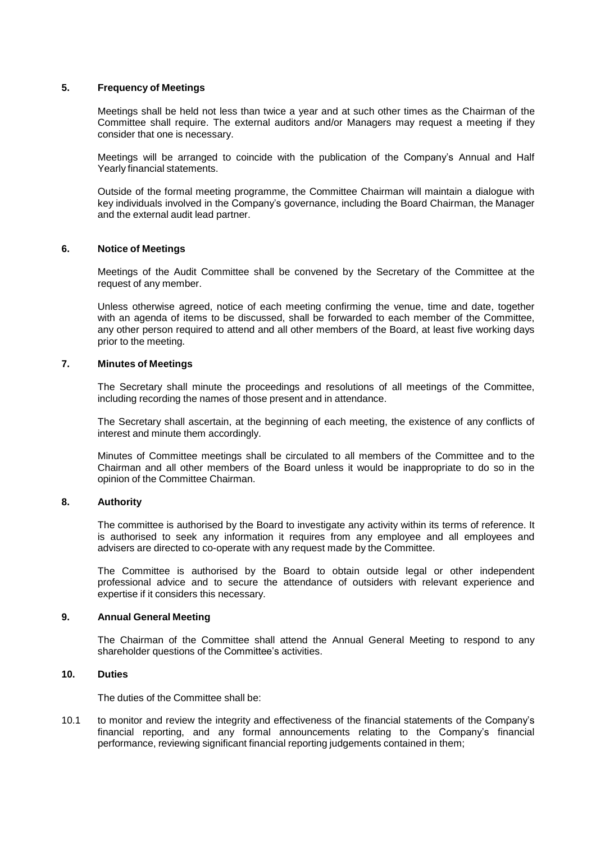### **5. Frequency of Meetings**

Meetings shall be held not less than twice a year and at such other times as the Chairman of the Committee shall require. The external auditors and/or Managers may request a meeting if they consider that one is necessary.

Meetings will be arranged to coincide with the publication of the Company's Annual and Half Yearly financial statements.

Outside of the formal meeting programme, the Committee Chairman will maintain a dialogue with key individuals involved in the Company's governance, including the Board Chairman, the Manager and the external audit lead partner.

### **6. Notice of Meetings**

Meetings of the Audit Committee shall be convened by the Secretary of the Committee at the request of any member.

Unless otherwise agreed, notice of each meeting confirming the venue, time and date, together with an agenda of items to be discussed, shall be forwarded to each member of the Committee, any other person required to attend and all other members of the Board, at least five working days prior to the meeting.

### **7. Minutes of Meetings**

The Secretary shall minute the proceedings and resolutions of all meetings of the Committee, including recording the names of those present and in attendance.

The Secretary shall ascertain, at the beginning of each meeting, the existence of any conflicts of interest and minute them accordingly.

Minutes of Committee meetings shall be circulated to all members of the Committee and to the Chairman and all other members of the Board unless it would be inappropriate to do so in the opinion of the Committee Chairman.

#### **8. Authority**

The committee is authorised by the Board to investigate any activity within its terms of reference. It is authorised to seek any information it requires from any employee and all employees and advisers are directed to co-operate with any request made by the Committee.

The Committee is authorised by the Board to obtain outside legal or other independent professional advice and to secure the attendance of outsiders with relevant experience and expertise if it considers this necessary.

#### **9. Annual General Meeting**

The Chairman of the Committee shall attend the Annual General Meeting to respond to any shareholder questions of the Committee's activities.

## **10. Duties**

The duties of the Committee shall be:

10.1 to monitor and review the integrity and effectiveness of the financial statements of the Company's financial reporting, and any formal announcements relating to the Company's financial performance, reviewing significant financial reporting judgements contained in them;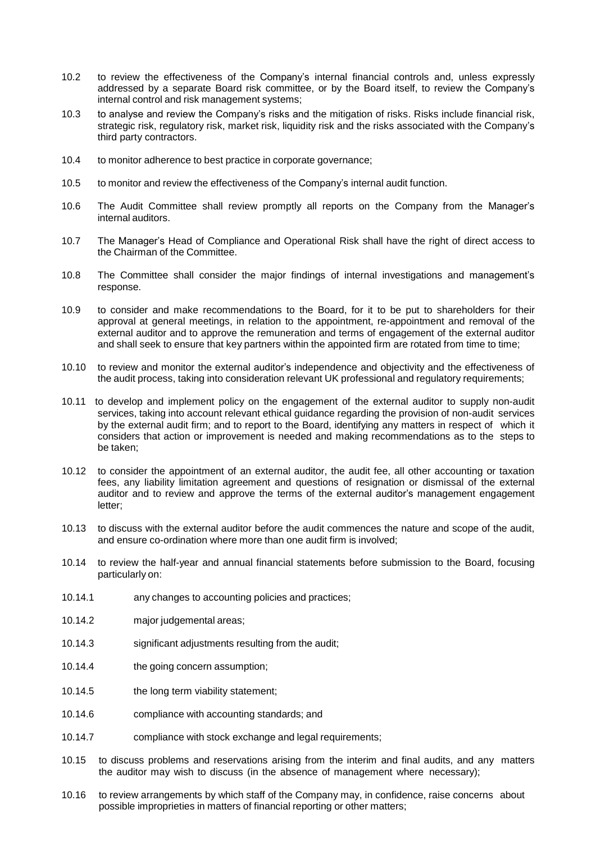- 10.2 to review the effectiveness of the Company's internal financial controls and, unless expressly addressed by a separate Board risk committee, or by the Board itself, to review the Company's internal control and risk management systems;
- 10.3 to analyse and review the Company's risks and the mitigation of risks. Risks include financial risk, strategic risk, regulatory risk, market risk, liquidity risk and the risks associated with the Company's third party contractors.
- 10.4 to monitor adherence to best practice in corporate governance;
- 10.5 to monitor and review the effectiveness of the Company's internal audit function.
- 10.6 The Audit Committee shall review promptly all reports on the Company from the Manager's internal auditors.
- 10.7 The Manager's Head of Compliance and Operational Risk shall have the right of direct access to the Chairman of the Committee.
- 10.8 The Committee shall consider the major findings of internal investigations and management's response.
- 10.9 to consider and make recommendations to the Board, for it to be put to shareholders for their approval at general meetings, in relation to the appointment, re-appointment and removal of the external auditor and to approve the remuneration and terms of engagement of the external auditor and shall seek to ensure that key partners within the appointed firm are rotated from time to time;
- 10.10 to review and monitor the external auditor's independence and objectivity and the effectiveness of the audit process, taking into consideration relevant UK professional and regulatory requirements;
- 10.11 to develop and implement policy on the engagement of the external auditor to supply non-audit services, taking into account relevant ethical guidance regarding the provision of non-audit services by the external audit firm; and to report to the Board, identifying any matters in respect of which it considers that action or improvement is needed and making recommendations as to the steps to be taken;
- 10.12 to consider the appointment of an external auditor, the audit fee, all other accounting or taxation fees, any liability limitation agreement and questions of resignation or dismissal of the external auditor and to review and approve the terms of the external auditor's management engagement letter;
- 10.13 to discuss with the external auditor before the audit commences the nature and scope of the audit, and ensure co-ordination where more than one audit firm is involved;
- 10.14 to review the half-year and annual financial statements before submission to the Board, focusing particularly on:
- 10.14.1 any changes to accounting policies and practices;
- 10.14.2 major judgemental areas;
- 10.14.3 significant adjustments resulting from the audit;
- 10.14.4 the going concern assumption;
- 10.14.5 the long term viability statement;
- 10.14.6 compliance with accounting standards; and
- 10.14.7 compliance with stock exchange and legal requirements;
- 10.15 to discuss problems and reservations arising from the interim and final audits, and any matters the auditor may wish to discuss (in the absence of management where necessary);
- 10.16 to review arrangements by which staff of the Company may, in confidence, raise concerns about possible improprieties in matters of financial reporting or other matters;